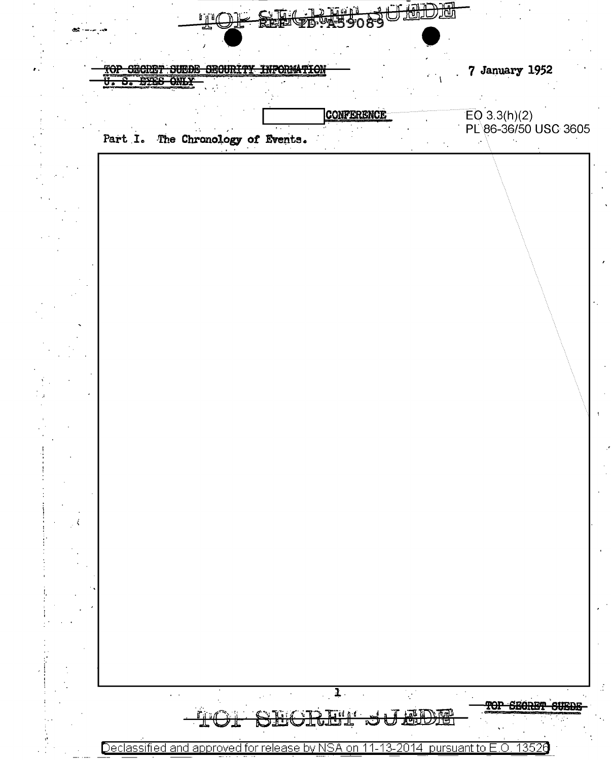

Declassified and approved for release by NSA on 13526 pursuant to E.O. 11-13-2014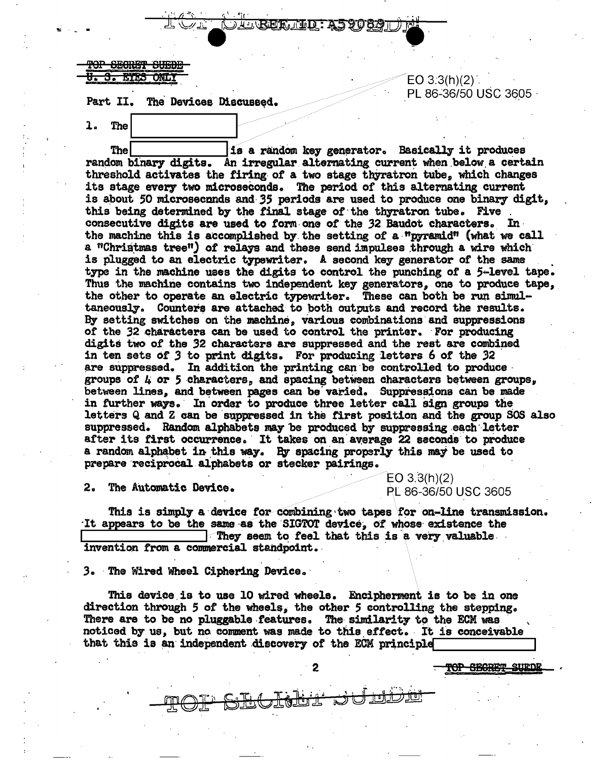DIEREKTED: A5908

## <del>OP SECRET SUEDE</del> ETES ONE

Part II. The Devices Discussed.

1. The

**The** is a random key generator. Basically it produces random binary digits. An irregular alternating current when below a certain threshold activates the firing of a two stage thyratron tube, which changes its stage every two microseconds. The period of this alternating current is about 50 microsecnnds and 35 periods are used to produce one binary digit. this being determined by the final stage of the thyratron tube. Five consecutive digits are used to form one of the 32 Baudot characters. In the machine this is accomplished by the setting of a "pyramid" (what we call a "Christmas tree") of relays and these send impulses through a wire which is plugged to an electric typewriter. A second key generator of the same type in the machine uses the digits to control the punching of a 5-level tape. Thus the machine contains two independent key generators, one to produce tape, the other to operate an electric typewriter. These can both be run simultaneously. Counters are attached to both outputs and record the results. By setting switches on the machine, various combinations and suppressions of the 32 characters can be used to control the printer. For producing digits two of the 32 characters are suppressed and the rest are combined in ten sets of 3 to print digits. For producing letters 6 of the 32 are suppressed. In addition the printing can be controlled to produce groups of  $L$  or 5 characters, and spacing between characters between groups. between lines, and between pages can be varied. Suppressions can be made in further ways. In order to produce three letter call sign groups the letters Q and Z can be suppressed in the first position and the group SOS also suppressed. Random alphabets may be produced by suppressing each letter after its first occurrence. It takes on an average 22 seconds to produce a random alphabet in this way. By spacing properly this may be used to prepare reciprocal alphabets or stecker pairings.

 $2.$ The Automatic Device. EO  $3.3(h)(2)$ PL 86-36/50 USC 3605

TOP SECRET SUEDE

 $EO 3:3(h)(2)$ .

PL 86-36/50 USC 3605 ·

This is simply a device for combining two tapes for on-line transmission. It appears to be the same as the SIGTOT device, of whose existence the They seem to feel that this is a very valuable invention from a commercial standpoint.

3. The Wired Wheel Ciphering Device.

This device is to use 10 wired wheels. Encipherment is to be in one direction through 5 of the wheels, the other 5 controlling the stepping. There are to be no pluggable features. The similarity to the ECM was noticed by us, but no comment was made to this effect. It is conceivable that this is an independent discovery of the ECM principle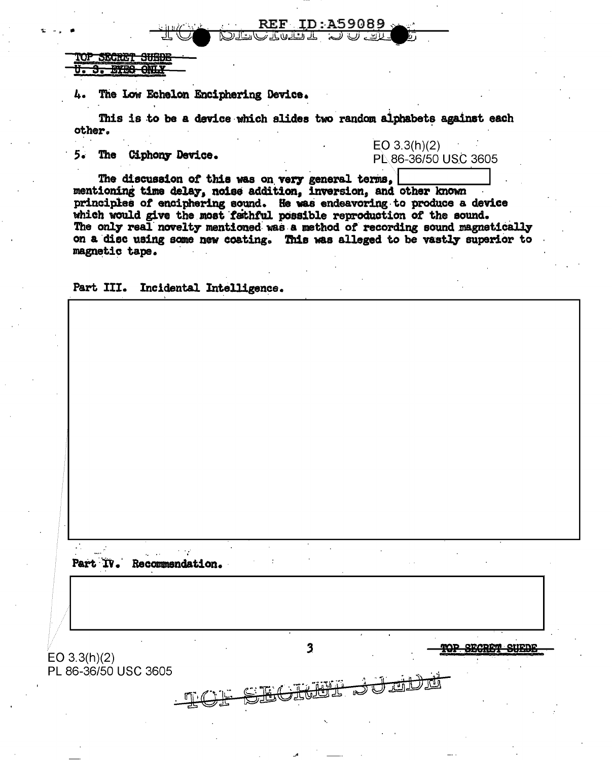OP SECRET SHEDE **BYES ONLY** 

The Low Echelon Enciphering Device.

This is to be a device which slides two random alphabets against each other.

REF ین اب راتے لانے اللہ

ID:A59089

5. The Ciphony Device.

 $EO 3.3(h)(2)$ PL 86-36/50 USC 3605

The discussion of this was on very general terms, mentioning time delay, noise addition, inversion, and other known principles of enciphering sound. He was endeavoring to produce a device which would give the most fathful possible reproduction of the sound. The only real novelty mentioned was a method of recording sound magnetically on a disc using some new coating. This was alleged to be vastly superior to magnetic tape.

Part III. Incidental Intelligence.

Part IV. Recommendation.

 $\overline{\mathbf{3}}$ **TOP SECRET SUEDE**  $EO 3.3(h)(2)$ PL 86-36/50 USC 3605